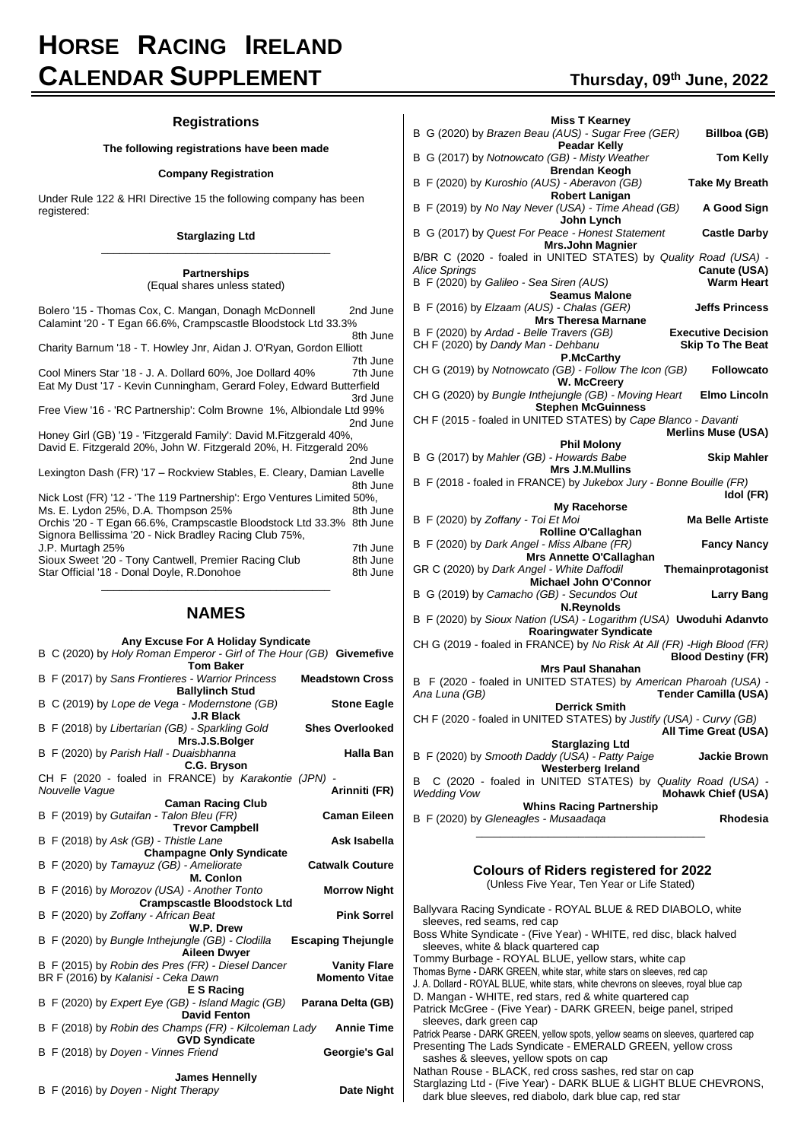# **HORSE RACING IRELAND CALENDAR SUPPLEMENT Thursday, <sup>09</sup>th June, 2022**

# **Registrations**

## **The following registrations have been made**

#### **Company Registration**

Under Rule 122 & HRI Directive 15 the following company has been registered:

#### **Starglazing Ltd** \_\_\_\_\_\_\_\_\_\_\_\_\_\_\_\_\_\_\_\_\_\_\_\_\_\_\_\_\_\_\_\_\_\_\_\_\_\_

**Partnerships**

| (Equal shares unless stated)                                                                                                             |                      |
|------------------------------------------------------------------------------------------------------------------------------------------|----------------------|
| Bolero '15 - Thomas Cox, C. Mangan, Donagh McDonnell<br>Calamint '20 - T Egan 66.6%, Crampscastle Bloodstock Ltd 33.3%                   | 2nd June<br>8th June |
| Charity Barnum '18 - T. Howley Jnr, Aidan J. O'Ryan, Gordon Elliott                                                                      |                      |
|                                                                                                                                          | 7th June             |
| Cool Miners Star '18 - J. A. Dollard 60%, Joe Dollard 40%                                                                                | 7th June             |
| Eat My Dust '17 - Kevin Cunningham, Gerard Foley, Edward Butterfield                                                                     |                      |
|                                                                                                                                          | 3rd June             |
| Free View '16 - 'RC Partnership': Colm Browne 1%, Albiondale Ltd 99%                                                                     | 2nd June             |
| Honey Girl (GB) '19 - 'Fitzgerald Family': David M.Fitzgerald 40%,<br>David E. Fitzgerald 20%, John W. Fitzgerald 20%, H. Fitzgerald 20% |                      |
|                                                                                                                                          | 2nd June             |
| Lexington Dash (FR) '17 - Rockview Stables, E. Cleary, Damian Lavelle                                                                    | 8th June             |
| Nick Lost (FR) '12 - 'The 119 Partnership': Ergo Ventures Limited 50%,                                                                   |                      |
| Ms. E. Lydon 25%, D.A. Thompson 25%                                                                                                      | 8th June             |
| Orchis '20 - T Egan 66.6%, Crampscastle Bloodstock Ltd 33.3% 8th June<br>Signora Bellissima '20 - Nick Bradley Racing Club 75%,          |                      |
| J.P. Murtagh 25%                                                                                                                         | 7th June             |
| Sioux Sweet '20 - Tony Cantwell, Premier Racing Club                                                                                     | 8th June             |
| Star Official '18 - Donal Doyle, R.Donohoe                                                                                               | 8th June             |
|                                                                                                                                          |                      |

# **NAMES**

|                | Any Excuse For A Holiday Syndicate                                                       |                           |
|----------------|------------------------------------------------------------------------------------------|---------------------------|
|                | B C (2020) by Holy Roman Emperor - Girl of The Hour (GB) Givemefive<br><b>Tom Baker</b>  |                           |
|                | B F (2017) by Sans Frontieres - Warrior Princess                                         | <b>Meadstown Cross</b>    |
|                | <b>Ballylinch Stud</b>                                                                   |                           |
|                | B C (2019) by Lope de Vega - Modernstone (GB)<br><b>J.R Black</b>                        | <b>Stone Eagle</b>        |
|                | B F (2018) by Libertarian (GB) - Sparkling Gold<br>Mrs.J.S.Bolger                        | <b>Shes Overlooked</b>    |
|                | B F (2020) by Parish Hall - Duaisbhanna<br>C.G. Bryson                                   | Halla Ban                 |
|                | CH F (2020 - foaled in FRANCE) by Karakontie (JPN)                                       |                           |
| Nouvelle Vaque |                                                                                          | Arinniti (FR)             |
|                | <b>Caman Racing Club</b>                                                                 | <b>Caman Eileen</b>       |
|                | B F (2019) by Gutaifan - Talon Bleu (FR)<br><b>Trevor Campbell</b>                       |                           |
|                | B F (2018) by Ask (GB) - Thistle Lane                                                    | Ask Isabella              |
|                | <b>Champagne Only Syndicate</b>                                                          |                           |
|                | B F (2020) by Tamayuz (GB) - Ameliorate                                                  | <b>Catwalk Couture</b>    |
|                | M. Conlon                                                                                |                           |
|                | B F (2016) by Morozov (USA) - Another Tonto                                              | <b>Morrow Night</b>       |
|                | <b>Crampscastle Bloodstock Ltd</b><br>B F (2020) by Zoffany - African Beat               | <b>Pink Sorrel</b>        |
|                | W.P. Drew                                                                                |                           |
|                | B F (2020) by Bungle Inthejungle (GB) - Clodilla<br><b>Aileen Dwyer</b>                  | <b>Escaping Thejungle</b> |
|                | B F (2015) by Robin des Pres (FR) - Diesel Dancer                                        | <b>Vanity Flare</b>       |
|                | BR F (2016) by Kalanisi - Ceka Dawn<br><b>E S Racing</b>                                 | <b>Momento Vitae</b>      |
|                | B F (2020) by Expert Eye (GB) - Island Magic (GB)<br><b>David Fenton</b>                 | Parana Delta (GB)         |
|                | B F (2018) by Robin des Champs (FR) - Kilcoleman Lady Annie Time<br><b>GVD Syndicate</b> |                           |
|                | B F (2018) by Doyen - Vinnes Friend                                                      | Georgie's Gal             |
|                | <b>James Hennelly</b>                                                                    |                           |
|                | B F (2016) by Doyen - Night Therapy                                                      | Date Night                |

| B G (2020) by Brazen Beau (AUS) - Sugar Free (GER)<br><b>Peadar Kelly</b>                                | Billboa (GB)                      |
|----------------------------------------------------------------------------------------------------------|-----------------------------------|
| B G (2017) by Notnowcato (GB) - Misty Weather<br><b>Brendan Keogh</b>                                    | <b>Tom Kelly</b>                  |
| B F (2020) by Kuroshio (AUS) - Aberavon (GB)<br><b>Robert Lanigan</b>                                    | <b>Take My Breath</b>             |
| B F (2019) by No Nay Never (USA) - Time Ahead (GB)<br>John Lynch                                         | A Good Sign                       |
| B G (2017) by Quest For Peace - Honest Statement<br><b>Mrs.John Magnier</b>                              | <b>Castle Darby</b>               |
| B/BR C (2020 - foaled in UNITED STATES) by Quality Road (USA) -                                          |                                   |
| <b>Alice Springs</b><br>B F (2020) by Galileo - Sea Siren (AUS)                                          | Canute (USA)<br><b>Warm Heart</b> |
| <b>Seamus Malone</b>                                                                                     |                                   |
| B F (2016) by Elzaam (AUS) - Chalas (GER)<br><b>Mrs Theresa Marnane</b>                                  | <b>Jeffs Princess</b>             |
| B F (2020) by Ardad - Belle Travers (GB)                                                                 | <b>Executive Decision</b>         |
| CH F (2020) by Dandy Man - Dehbanu<br>P.McCarthy                                                         | <b>Skip To The Beat</b>           |
| CH G (2019) by Notnowcato (GB) - Follow The Icon (GB)<br>W. McCreery                                     | <b>Followcato</b>                 |
| CH G (2020) by Bungle Inthejungle (GB) - Moving Heart<br><b>Stephen McGuinness</b>                       | <b>Elmo Lincoln</b>               |
| CH F (2015 - foaled in UNITED STATES) by Cape Blanco - Davanti                                           |                                   |
|                                                                                                          | <b>Merlins Muse (USA)</b>         |
| <b>Phil Molony</b>                                                                                       |                                   |
| B G (2017) by Mahler (GB) - Howards Babe<br><b>Mrs J.M.Mullins</b>                                       | <b>Skip Mahler</b>                |
| B F (2018 - foaled in FRANCE) by Jukebox Jury - Bonne Bouille (FR)                                       |                                   |
|                                                                                                          |                                   |
|                                                                                                          | Idol (FR)                         |
| My Racehorse                                                                                             |                                   |
| B F (2020) by Zoffany - Toi Et Moi                                                                       | <b>Ma Belle Artiste</b>           |
| <b>Rolline O'Callaghan</b>                                                                               |                                   |
| B F (2020) by Dark Angel - Miss Albane (FR)                                                              | <b>Fancy Nancy</b>                |
| Mrs Annette O'Callaghan                                                                                  |                                   |
| GR C (2020) by Dark Angel - White Daffodil                                                               | Themainprotagonist                |
| Michael John O'Connor<br>B G (2019) by Camacho (GB) - Secundos Out                                       | <b>Larry Bang</b>                 |
| <b>N.Reynolds</b><br>B F (2020) by Sioux Nation (USA) - Logarithm (USA) Uwoduhi Adanvto                  |                                   |
| <b>Roaringwater Syndicate</b><br>CH G (2019 - foaled in FRANCE) by No Risk At All (FR) - High Blood (FR) |                                   |
|                                                                                                          | <b>Blood Destiny (FR)</b>         |
| <b>Mrs Paul Shanahan</b><br>B F (2020 - foaled in UNITED STATES) by American Pharoah (USA) -             |                                   |
| Ana Luna (GB)                                                                                            | <b>Tender Camilla (USA)</b>       |
| <b>Derrick Smith</b><br>CH F (2020 - foaled in UNITED STATES) by Justify (USA) - Curvy (GB)              |                                   |
|                                                                                                          | All Time Great (USA)              |
| <b>Starglazing Ltd</b><br>B F (2020) by Smooth Daddy (USA) - Patty Paige                                 | <b>Jackie Brown</b>               |
| <b>Westerberg Ireland</b><br>C (2020 - foaled in UNITED STATES) by Quality Road (USA) -<br>в             |                                   |
| <b>Wedding Vow</b><br><b>Whins Racing Partnership</b>                                                    | <b>Mohawk Chief (USA)</b>         |

B F (2020) by *Gleneagles - Musaadaqa* **Rhodesia**

| <b>Colours of Riders registered for 2022</b><br>(Unless Five Year, Ten Year or Life Stated)                                                                                                                                                                                                                                                                                                                                                                                                                                                                                                                                                                                                                                                                                                                                                                                                                                                                                      |  |
|----------------------------------------------------------------------------------------------------------------------------------------------------------------------------------------------------------------------------------------------------------------------------------------------------------------------------------------------------------------------------------------------------------------------------------------------------------------------------------------------------------------------------------------------------------------------------------------------------------------------------------------------------------------------------------------------------------------------------------------------------------------------------------------------------------------------------------------------------------------------------------------------------------------------------------------------------------------------------------|--|
| Ballyvara Racing Syndicate - ROYAL BLUE & RED DIABOLO, white<br>sleeves, red seams, red cap<br>Boss White Syndicate - (Five Year) - WHITE, red disc, black halved<br>sleeves, white & black quartered cap<br>Tommy Burbage - ROYAL BLUE, yellow stars, white cap<br>Thomas Byrne - DARK GREEN, white star, white stars on sleeves, red cap<br>J. A. Dollard - ROYAL BLUE, white stars, white chevrons on sleeves, royal blue cap<br>D. Mangan - WHITE, red stars, red & white quartered cap<br>Patrick McGree - (Five Year) - DARK GREEN, beige panel, striped<br>sleeves, dark green cap<br>Patrick Pearse - DARK GREEN, yellow spots, yellow seams on sleeves, quartered cap<br>Presenting The Lads Syndicate - EMERALD GREEN, yellow cross<br>sashes & sleeves, yellow spots on cap<br>Nathan Rouse - BLACK, red cross sashes, red star on cap<br>Starglazing Ltd - (Five Year) - DARK BLUE & LIGHT BLUE CHEVRONS,<br>dark blue sleeves, red diabolo, dark blue cap, red star |  |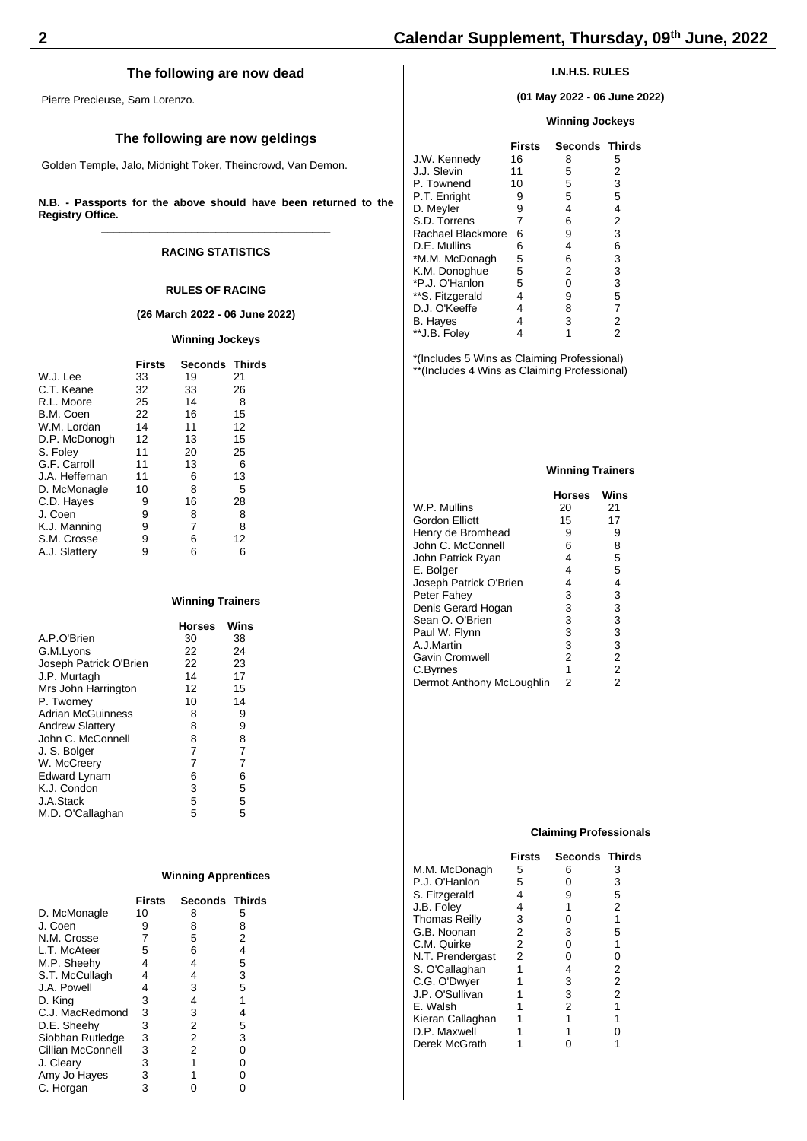# **The following are now dead**

Pierre Precieuse, Sam Lorenzo.

# **The following are now geldings**

Golden Temple, Jalo, Midnight Toker, Theincrowd, Van Demon.

**N.B. - Passports for the above should have been returned to the Registry Office. \_\_\_\_\_\_\_\_\_\_\_\_\_\_\_\_\_\_\_\_\_\_\_\_\_\_\_\_\_\_\_\_\_\_\_\_\_\_**

# **RACING STATISTICS**

#### **RULES OF RACING**

#### **(26 March 2022 - 06 June 2022)**

### **Winning Jockeys**

|                | <b>Firsts</b> | <b>Seconds Thirds</b> |    |
|----------------|---------------|-----------------------|----|
| W.J. Lee       | 33            | 19                    | 21 |
| C.T. Keane     | 32            | 33                    | 26 |
| R.L. Moore     | 25            | 14                    | 8  |
| B.M. Coen      | 22            | 16                    | 15 |
| W.M. Lordan    | 14            | 11                    | 12 |
| D.P. McDonogh  | 12            | 13                    | 15 |
| S. Foley       | 11            | 20                    | 25 |
| G.F. Carroll   | 11            | 13                    | 6  |
| J.A. Heffernan | 11            | 6                     | 13 |
| D. McMonagle   | 10            | 8                     | 5  |
| C.D. Hayes     | 9             | 16                    | 28 |
| J. Coen        | 9             | 8                     | 8  |
| K.J. Manning   | 9             | 7                     | 8  |
| S.M. Crosse    | 9             | 6                     | 12 |
| A.J. Slattery  | 9             | 6                     | 6  |
|                |               |                       |    |

# **Winning Trainers**

|                          | <b>Horses</b> | Wins |
|--------------------------|---------------|------|
| A.P.O'Brien              | 30            | 38   |
| G.M.Lyons                | 22            | 24   |
| Joseph Patrick O'Brien   | 22            | 23   |
| J.P. Murtagh             | 14            | 17   |
| Mrs John Harrington      | 12            | 15   |
| P. Twomey                | 10            | 14   |
| <b>Adrian McGuinness</b> | 8             | 9    |
| <b>Andrew Slattery</b>   | 8             | 9    |
| John C. McConnell        | 8             | 8    |
| J. S. Bolger             | 7             | 7    |
| W. McCreery              | 7             | 7    |
| Edward Lynam             | 6             | 6    |
| K.J. Condon              | 3             | 5    |
| J.A.Stack                | 5             | 5    |
| M.D. O'Callaghan         | 5             | 5    |

### **Winning Apprentices**

|                   | <b>Firsts</b> | <b>Seconds Thirds</b> |   |
|-------------------|---------------|-----------------------|---|
| D. McMonagle      | 10            | 8                     | 5 |
| J. Coen           | 9             | 8                     | 8 |
| N.M. Crosse       | 7             | 5                     | 2 |
| L.T. McAteer      | 5             | 6                     | 4 |
| M.P. Sheehy       | 4             | 4                     | 5 |
| S.T. McCullagh    | 4             | 4                     | 3 |
| J.A. Powell       | 4             | 3                     | 5 |
| D. King           | 3             | 4                     | 1 |
| C.J. MacRedmond   | 3             | 3                     | 4 |
| D.E. Sheehy       | 3             | 2                     | 5 |
| Siobhan Rutledge  | 3             | 2                     | 3 |
| Cillian McConnell | 3             | 2                     | 0 |
| J. Cleary         | 3             | 1                     | 0 |
| Amy Jo Hayes      | 3             |                       | 0 |
| C. Horgan         | 3             |                       |   |

# **I.N.H.S. RULES**

**(01 May 2022 - 06 June 2022)**

# **Winning Jockeys**

| Firsts |   |                       |
|--------|---|-----------------------|
| 16     | 8 | 5                     |
| 11     | 5 | 2                     |
| 10     | 5 | 3                     |
| 9      | 5 | 5                     |
| 9      | 4 | 4                     |
| 7      | 6 | 2                     |
| 6      | 9 | 3                     |
| 6      | 4 | 6                     |
| 5      | 6 | 3                     |
| 5      | 2 | 3                     |
| 5      | 0 | 3                     |
| 4      | 9 | 5                     |
| 4      | 8 | 7                     |
| 4      | 3 | 2                     |
|        |   | 2                     |
|        |   | <b>Seconds Thirds</b> |

\*(Includes 5 Wins as Claiming Professional) \*\*(Includes 4 Wins as Claiming Professional)

#### **Winning Trainers**

|                           | <b>Horses</b>  | Wins           |
|---------------------------|----------------|----------------|
| W.P. Mullins              | 20             | 21             |
| Gordon Elliott            | 15             | 17             |
| Henry de Bromhead         | 9              | 9              |
| John C. McConnell         | 6              | 8              |
| John Patrick Ryan         | 4              | 5              |
| E. Bolger                 | 4              | 5              |
| Joseph Patrick O'Brien    | 4              | 4              |
| Peter Fahey               | 3              | 3              |
| Denis Gerard Hogan        | 3              | 3              |
| Sean O. O'Brien           | 3              | 3              |
| Paul W. Flynn             | 3              | 3              |
| A.J.Martin                | 3              | $\frac{3}{2}$  |
| Gavin Cromwell            | $\overline{2}$ |                |
| C.Byrnes                  | 1              | $\overline{2}$ |
| Dermot Anthony McLoughlin | 2              | $\overline{2}$ |

#### **Claiming Professionals**

|                      | Firsts | <b>Seconds Thirds</b> |   |
|----------------------|--------|-----------------------|---|
| M.M. McDonagh        | 5      | 6                     | з |
| P.J. O'Hanlon        | 5      | 0                     | 3 |
| S. Fitzgerald        | 4      | 9                     | 5 |
| J.B. Folev           | 4      | 1                     | 2 |
| <b>Thomas Reilly</b> | 3      | 0                     | 1 |
| G.B. Noonan          | 2      | 3                     | 5 |
| C.M. Quirke          | 2      | 0                     | 1 |
| N.T. Prendergast     | 2      | 0                     | 0 |
| S. O'Callaghan       | 1      | 4                     | 2 |
| C.G. O'Dwyer         |        | 3                     | 2 |
| J.P. O'Sullivan      |        | 3                     | 2 |
| E. Walsh             |        | 2                     | 1 |
| Kieran Callaghan     |        | 1                     |   |
| D.P. Maxwell         |        |                       |   |
| Derek McGrath        |        |                       |   |
|                      |        |                       |   |